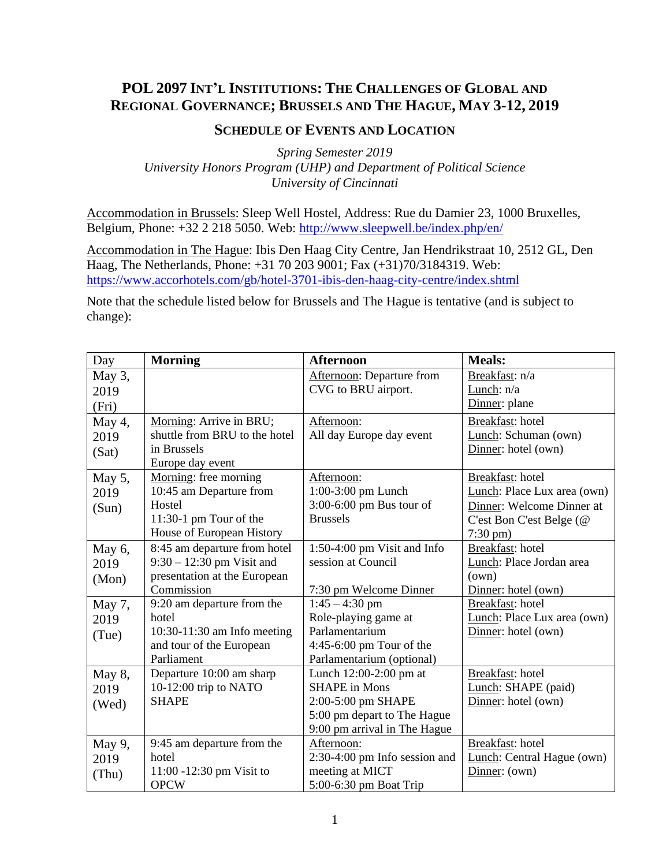## **POL 2097 INT'L INSTITUTIONS: THE CHALLENGES OF GLOBAL AND REGIONAL GOVERNANCE; BRUSSELS AND THE HAGUE, MAY 3-12, 2019**

## **SCHEDULE OF EVENTS AND LOCATION**

*Spring Semester 2019 University Honors Program (UHP) and Department of Political Science University of Cincinnati*

Accommodation in Brussels: Sleep Well Hostel, Address: Rue du Damier 23, 1000 Bruxelles, Belgium, Phone: +32 2 218 5050. Web:<http://www.sleepwell.be/index.php/en/>

Accommodation in The Hague: Ibis Den Haag City Centre, Jan Hendrikstraat 10, 2512 GL, Den Haag, The Netherlands, Phone: +31 70 203 9001; Fax (+31)70/3184319. Web: <https://www.accorhotels.com/gb/hotel-3701-ibis-den-haag-city-centre/index.shtml>

Note that the schedule listed below for Brussels and The Hague is tentative (and is subject to change):

| Day    | <b>Morning</b>                | <b>Afternoon</b>                 | <b>Meals:</b>               |
|--------|-------------------------------|----------------------------------|-----------------------------|
| May 3, |                               | <b>Afternoon:</b> Departure from | Breakfast: n/a              |
| 2019   |                               | CVG to BRU airport.              | Lunch: n/a                  |
| (Fri)  |                               |                                  | Dinner: plane               |
| May 4, | Morning: Arrive in BRU;       | Afternoon:                       | Breakfast: hotel            |
| 2019   | shuttle from BRU to the hotel | All day Europe day event         | Lunch: Schuman (own)        |
| (Sat)  | in Brussels                   |                                  | Dinner: hotel (own)         |
|        | Europe day event              |                                  |                             |
| May 5, | Morning: free morning         | Afternoon:                       | Breakfast: hotel            |
| 2019   | 10:45 am Departure from       | 1:00-3:00 pm Lunch               | Lunch: Place Lux area (own) |
| (Sun)  | Hostel                        | 3:00-6:00 pm Bus tour of         | Dinner: Welcome Dinner at   |
|        | 11:30-1 pm Tour of the        | <b>Brussels</b>                  | C'est Bon C'est Belge (@    |
|        | House of European History     |                                  | $7:30 \text{ pm}$ )         |
| May 6, | 8:45 am departure from hotel  | 1:50-4:00 pm Visit and Info      | Breakfast: hotel            |
| 2019   | $9:30 - 12:30$ pm Visit and   | session at Council               | Lunch: Place Jordan area    |
| (Mon)  | presentation at the European  |                                  | (own)                       |
|        | Commission                    | 7:30 pm Welcome Dinner           | Dinner: hotel (own)         |
| May 7, | 9:20 am departure from the    | $1:45 - 4:30$ pm                 | Breakfast: hotel            |
| 2019   | hotel                         | Role-playing game at             | Lunch: Place Lux area (own) |
| (Tue)  | 10:30-11:30 am Info meeting   | Parlamentarium                   | Dinner: hotel (own)         |
|        | and tour of the European      | 4:45-6:00 pm Tour of the         |                             |
|        | Parliament                    | Parlamentarium (optional)        |                             |
| May 8, | Departure 10:00 am sharp      | Lunch $12:00-2:00$ pm at         | Breakfast: hotel            |
| 2019   | 10-12:00 trip to NATO         | <b>SHAPE</b> in Mons             | Lunch: SHAPE (paid)         |
| (Wed)  | <b>SHAPE</b>                  | 2:00-5:00 pm SHAPE               | Dinner: hotel (own)         |
|        |                               | 5:00 pm depart to The Hague      |                             |
|        |                               | 9:00 pm arrival in The Hague     |                             |
| May 9, | 9:45 am departure from the    | Afternoon:                       | Breakfast: hotel            |
| 2019   | hotel                         | $2:30-4:00$ pm Info session and  | Lunch: Central Hague (own)  |
| (Thu)  | 11:00 -12:30 pm Visit to      | meeting at MICT                  | Dinner: (own)               |
|        | <b>OPCW</b>                   | 5:00-6:30 pm Boat Trip           |                             |